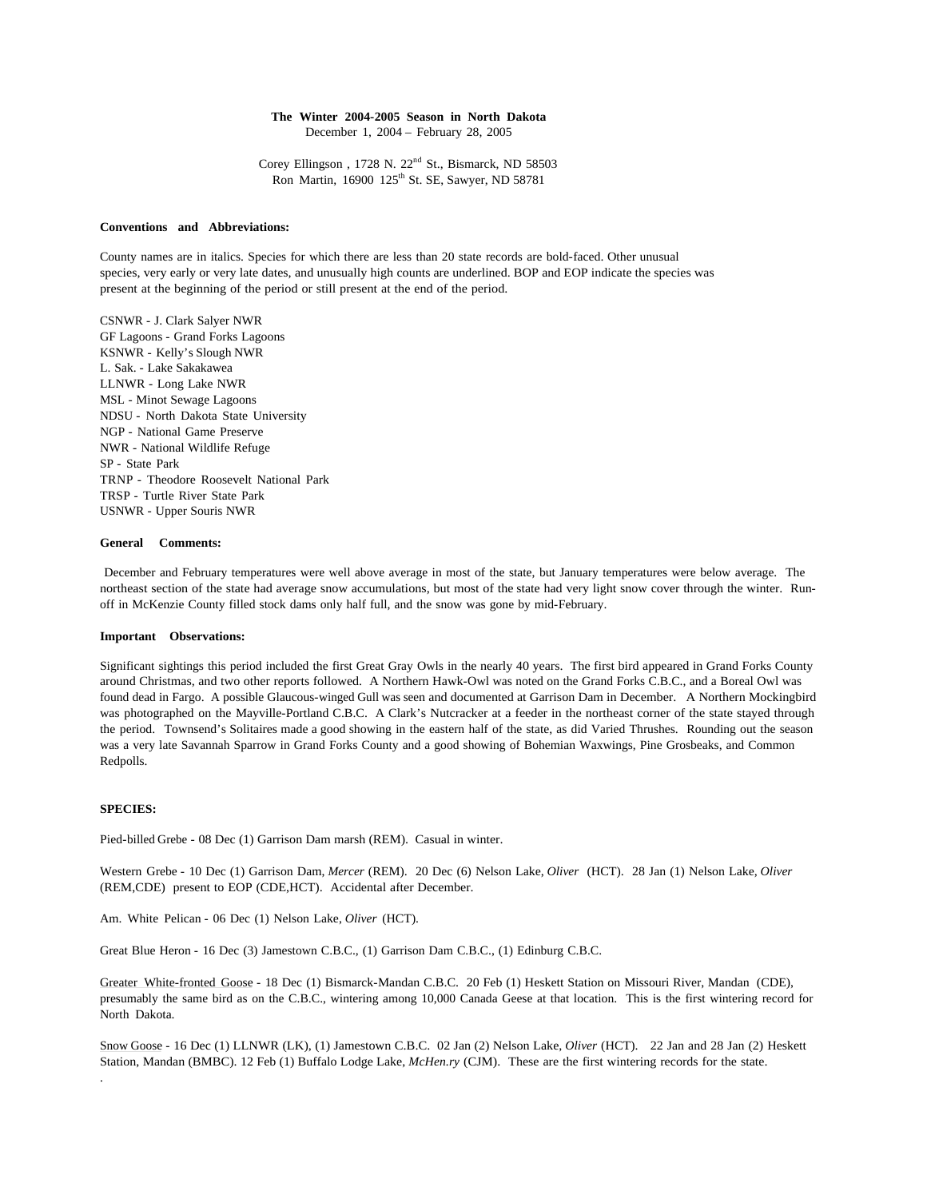# **The Winter 2004-2005 Season in North Dakota**

December 1, 2004 – February 28, 2005

Corey Ellingson, 1728 N. 22<sup>nd</sup> St., Bismarck, ND 58503 Ron Martin, 16900 125<sup>th</sup> St. SE, Sawyer, ND 58781

#### **Conventions and Abbreviations:**

County names are in italics. Species for which there are less than 20 state records are bold-faced. Other unusual species, very early or very late dates, and unusually high counts are underlined. BOP and EOP indicate the species was present at the beginning of the period or still present at the end of the period.

CSNWR - J. Clark Salyer NWR GF Lagoons - Grand Forks Lagoons KSNWR - Kelly's Slough NWR L. Sak. - Lake Sakakawea LLNWR - Long Lake NWR MSL - Minot Sewage Lagoons NDSU - North Dakota State University NGP - National Game Preserve NWR - National Wildlife Refuge SP - State Park TRNP - Theodore Roosevelt National Park TRSP - Turtle River State Park USNWR - Upper Souris NWR

### **General Comments:**

 December and February temperatures were well above average in most of the state, but January temperatures were below average. The northeast section of the state had average snow accumulations, but most of the state had very light snow cover through the winter. Runoff in McKenzie County filled stock dams only half full, and the snow was gone by mid-February.

#### **Important Observations:**

Significant sightings this period included the first Great Gray Owls in the nearly 40 years. The first bird appeared in Grand Forks County around Christmas, and two other reports followed. A Northern Hawk-Owl was noted on the Grand Forks C.B.C., and a Boreal Owl was found dead in Fargo. A possible Glaucous-winged Gull was seen and documented at Garrison Dam in December. A Northern Mockingbird was photographed on the Mayville-Portland C.B.C. A Clark's Nutcracker at a feeder in the northeast corner of the state stayed through the period. Townsend's Solitaires made a good showing in the eastern half of the state, as did Varied Thrushes. Rounding out the season was a very late Savannah Sparrow in Grand Forks County and a good showing of Bohemian Waxwings, Pine Grosbeaks, and Common Redpolls.

## **SPECIES:**

.

Pied-billed Grebe - 08 Dec (1) Garrison Dam marsh (REM). Casual in winter.

Western Grebe - 10 Dec (1) Garrison Dam, *Mercer* (REM). 20 Dec (6) Nelson Lake, *Oliver* (HCT). 28 Jan (1) Nelson Lake, *Oliver*  (REM,CDE) present to EOP (CDE,HCT). Accidental after December.

Am. White Pelican - 06 Dec (1) Nelson Lake, *Oliver* (HCT).

Great Blue Heron - 16 Dec (3) Jamestown C.B.C., (1) Garrison Dam C.B.C., (1) Edinburg C.B.C.

Greater White-fronted Goose - 18 Dec (1) Bismarck-Mandan C.B.C. 20 Feb (1) Heskett Station on Missouri River, Mandan (CDE), presumably the same bird as on the C.B.C., wintering among 10,000 Canada Geese at that location. This is the first wintering record for North Dakota.

Snow Goose - 16 Dec (1) LLNWR (LK), (1) Jamestown C.B.C. 02 Jan (2) Nelson Lake, *Oliver* (HCT). 22 Jan and 28 Jan (2) Heskett Station, Mandan (BMBC). 12 Feb (1) Buffalo Lodge Lake, *McHen.ry* (CJM). These are the first wintering records for the state.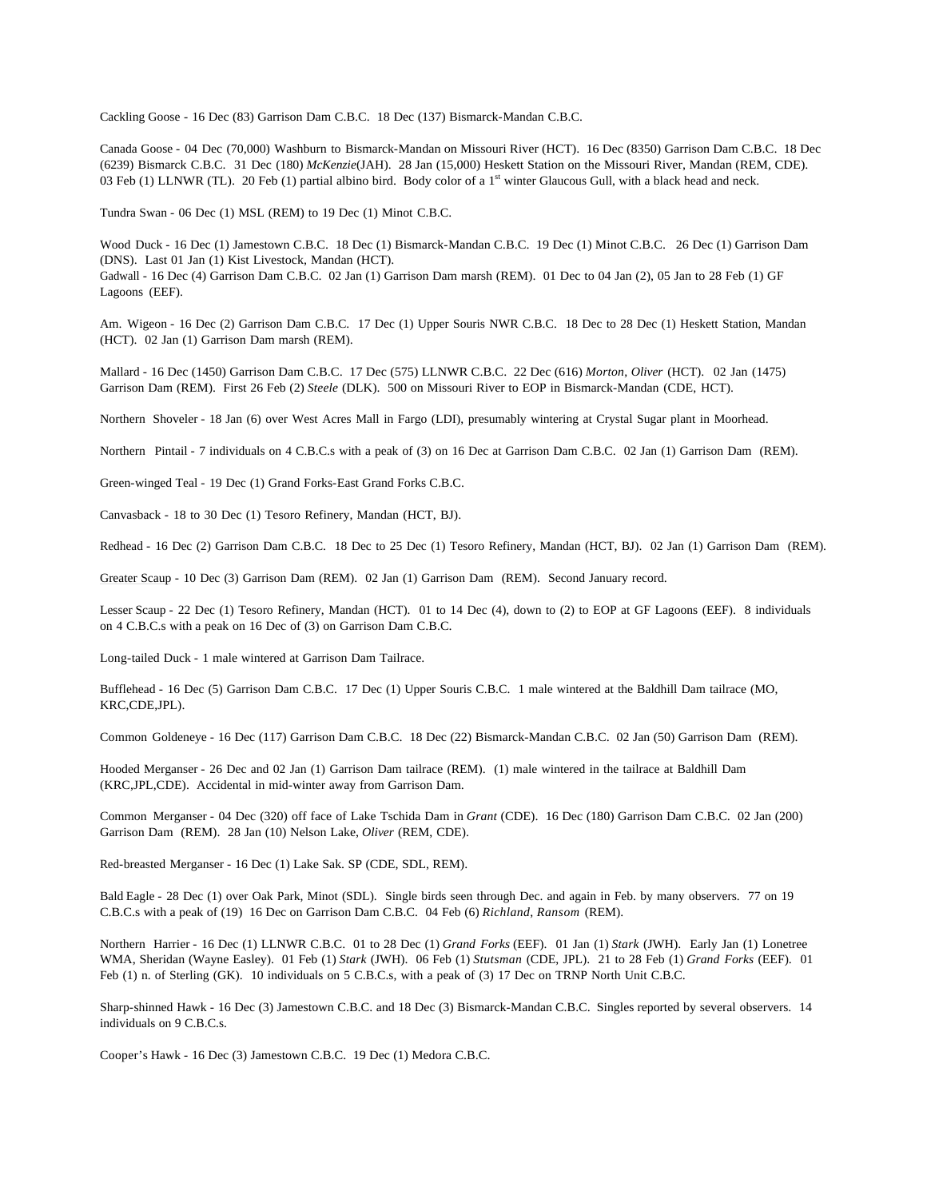Cackling Goose - 16 Dec (83) Garrison Dam C.B.C. 18 Dec (137) Bismarck-Mandan C.B.C.

Canada Goose - 04 Dec (70,000) Washburn to Bismarck-Mandan on Missouri River (HCT). 16 Dec (8350) Garrison Dam C.B.C. 18 Dec (6239) Bismarck C.B.C. 31 Dec (180) *McKenzie*(JAH). 28 Jan (15,000) Heskett Station on the Missouri River, Mandan (REM, CDE). 03 Feb (1) LLNWR (TL). 20 Feb (1) partial albino bird. Body color of a  $1<sup>st</sup>$  winter Glaucous Gull, with a black head and neck.

Tundra Swan - 06 Dec (1) MSL (REM) to 19 Dec (1) Minot C.B.C.

Wood Duck - 16 Dec (1) Jamestown C.B.C. 18 Dec (1) Bismarck-Mandan C.B.C. 19 Dec (1) Minot C.B.C. 26 Dec (1) Garrison Dam (DNS). Last 01 Jan (1) Kist Livestock, Mandan (HCT).

Gadwall - 16 Dec (4) Garrison Dam C.B.C. 02 Jan (1) Garrison Dam marsh (REM). 01 Dec to 04 Jan (2), 05 Jan to 28 Feb (1) GF Lagoons (EEF).

Am. Wigeon - 16 Dec (2) Garrison Dam C.B.C. 17 Dec (1) Upper Souris NWR C.B.C. 18 Dec to 28 Dec (1) Heskett Station, Mandan (HCT). 02 Jan (1) Garrison Dam marsh (REM).

Mallard - 16 Dec (1450) Garrison Dam C.B.C. 17 Dec (575) LLNWR C.B.C. 22 Dec (616) *Morton*, *Oliver* (HCT). 02 Jan (1475) Garrison Dam (REM). First 26 Feb (2) *Steele* (DLK). 500 on Missouri River to EOP in Bismarck-Mandan (CDE, HCT).

Northern Shoveler - 18 Jan (6) over West Acres Mall in Fargo (LDI), presumably wintering at Crystal Sugar plant in Moorhead.

Northern Pintail - 7 individuals on 4 C.B.C.s with a peak of (3) on 16 Dec at Garrison Dam C.B.C. 02 Jan (1) Garrison Dam (REM).

Green-winged Teal - 19 Dec (1) Grand Forks-East Grand Forks C.B.C.

Canvasback - 18 to 30 Dec (1) Tesoro Refinery, Mandan (HCT, BJ).

Redhead - 16 Dec (2) Garrison Dam C.B.C. 18 Dec to 25 Dec (1) Tesoro Refinery, Mandan (HCT, BJ). 02 Jan (1) Garrison Dam (REM).

Greater Scaup - 10 Dec (3) Garrison Dam (REM). 02 Jan (1) Garrison Dam (REM). Second January record.

Lesser Scaup - 22 Dec (1) Tesoro Refinery, Mandan (HCT). 01 to 14 Dec (4), down to (2) to EOP at GF Lagoons (EEF). 8 individuals on 4 C.B.C.s with a peak on 16 Dec of (3) on Garrison Dam C.B.C.

Long-tailed Duck - 1 male wintered at Garrison Dam Tailrace.

Bufflehead - 16 Dec (5) Garrison Dam C.B.C. 17 Dec (1) Upper Souris C.B.C. 1 male wintered at the Baldhill Dam tailrace (MO, KRC,CDE,JPL).

Common Goldeneye - 16 Dec (117) Garrison Dam C.B.C. 18 Dec (22) Bismarck-Mandan C.B.C. 02 Jan (50) Garrison Dam (REM).

Hooded Merganser - 26 Dec and 02 Jan (1) Garrison Dam tailrace (REM). (1) male wintered in the tailrace at Baldhill Dam (KRC,JPL,CDE). Accidental in mid-winter away from Garrison Dam.

Common Merganser - 04 Dec (320) off face of Lake Tschida Dam in *Grant* (CDE). 16 Dec (180) Garrison Dam C.B.C. 02 Jan (200) Garrison Dam (REM). 28 Jan (10) Nelson Lake, *Oliver* (REM, CDE).

Red-breasted Merganser - 16 Dec (1) Lake Sak. SP (CDE, SDL, REM).

Bald Eagle - 28 Dec (1) over Oak Park, Minot (SDL). Single birds seen through Dec. and again in Feb. by many observers. 77 on 19 C.B.C.s with a peak of (19) 16 Dec on Garrison Dam C.B.C. 04 Feb (6) *Richland*, *Ransom* (REM).

Northern Harrier - 16 Dec (1) LLNWR C.B.C. 01 to 28 Dec (1) *Grand Forks* (EEF). 01 Jan (1) *Stark* (JWH). Early Jan (1) Lonetree WMA, Sheridan (Wayne Easley). 01 Feb (1) *Stark* (JWH). 06 Feb (1) *Stutsman* (CDE, JPL). 21 to 28 Feb (1) *Grand Forks* (EEF). 01 Feb (1) n. of Sterling (GK). 10 individuals on 5 C.B.C.s, with a peak of (3) 17 Dec on TRNP North Unit C.B.C.

Sharp-shinned Hawk - 16 Dec (3) Jamestown C.B.C. and 18 Dec (3) Bismarck-Mandan C.B.C. Singles reported by several observers. 14 individuals on 9 C.B.C.s.

Cooper's Hawk - 16 Dec (3) Jamestown C.B.C. 19 Dec (1) Medora C.B.C.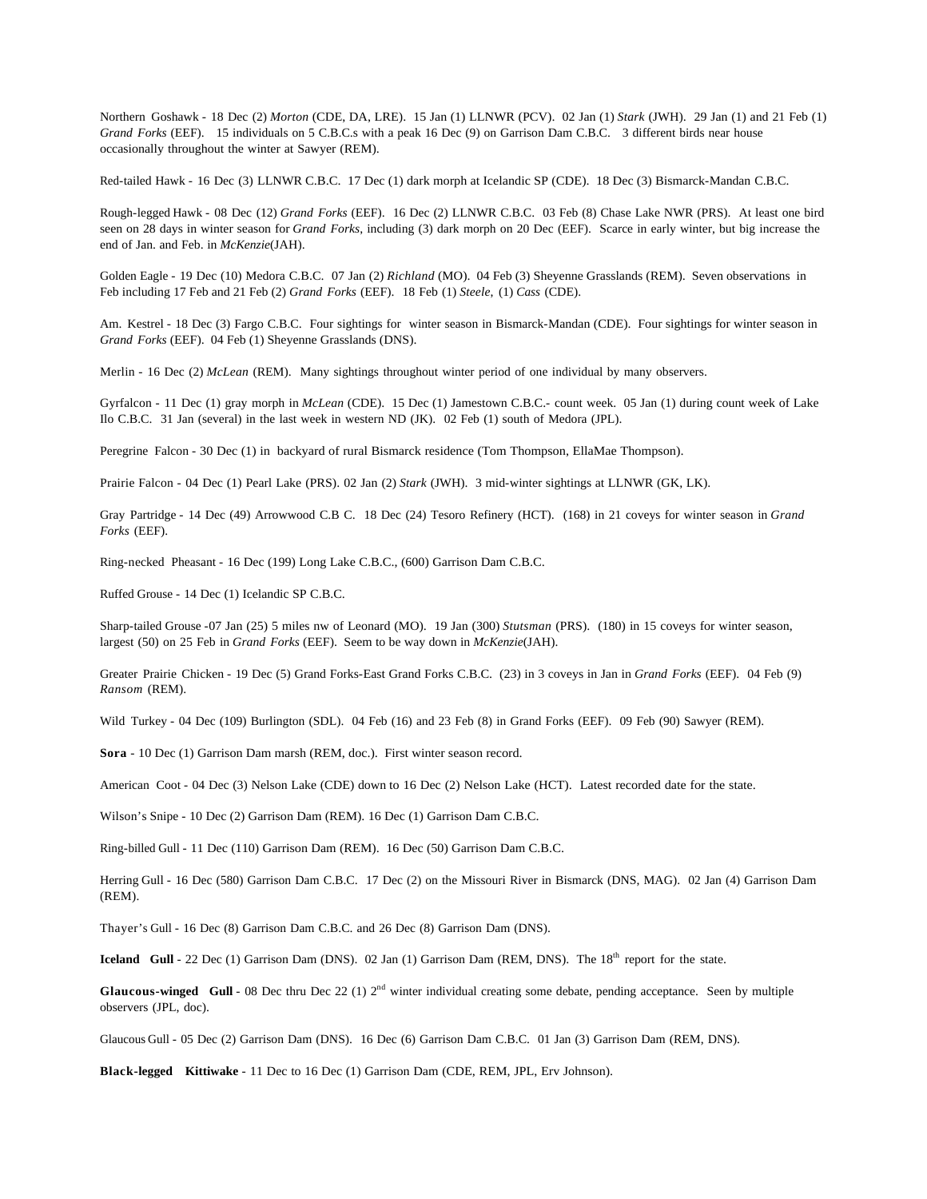Northern Goshawk - 18 Dec (2) *Morton* (CDE, DA, LRE). 15 Jan (1) LLNWR (PCV). 02 Jan (1) *Stark* (JWH). 29 Jan (1) and 21 Feb (1) *Grand Forks* (EEF). 15 individuals on 5 C.B.C.s with a peak 16 Dec (9) on Garrison Dam C.B.C. 3 different birds near house occasionally throughout the winter at Sawyer (REM).

Red-tailed Hawk - 16 Dec (3) LLNWR C.B.C. 17 Dec (1) dark morph at Icelandic SP (CDE). 18 Dec (3) Bismarck-Mandan C.B.C.

Rough-legged Hawk - 08 Dec (12) *Grand Forks* (EEF). 16 Dec (2) LLNWR C.B.C. 03 Feb (8) Chase Lake NWR (PRS). At least one bird seen on 28 days in winter season for *Grand Forks*, including (3) dark morph on 20 Dec (EEF). Scarce in early winter, but big increase the end of Jan. and Feb. in *McKenzie*(JAH).

Golden Eagle - 19 Dec (10) Medora C.B.C. 07 Jan (2) *Richland* (MO). 04 Feb (3) Sheyenne Grasslands (REM). Seven observations in Feb including 17 Feb and 21 Feb (2) *Grand Forks* (EEF). 18 Feb (1) *Steele*, (1) *Cass* (CDE).

Am. Kestrel - 18 Dec (3) Fargo C.B.C. Four sightings for winter season in Bismarck-Mandan (CDE). Four sightings for winter season in *Grand Forks* (EEF). 04 Feb (1) Sheyenne Grasslands (DNS).

Merlin - 16 Dec (2) *McLean* (REM). Many sightings throughout winter period of one individual by many observers.

Gyrfalcon - 11 Dec (1) gray morph in *McLean* (CDE). 15 Dec (1) Jamestown C.B.C.- count week. 05 Jan (1) during count week of Lake Ilo C.B.C. 31 Jan (several) in the last week in western ND (JK). 02 Feb (1) south of Medora (JPL).

Peregrine Falcon - 30 Dec (1) in backyard of rural Bismarck residence (Tom Thompson, EllaMae Thompson).

Prairie Falcon - 04 Dec (1) Pearl Lake (PRS). 02 Jan (2) *Stark* (JWH). 3 mid-winter sightings at LLNWR (GK, LK).

Gray Partridge - 14 Dec (49) Arrowwood C.B C. 18 Dec (24) Tesoro Refinery (HCT). (168) in 21 coveys for winter season in *Grand Forks* (EEF).

Ring-necked Pheasant - 16 Dec (199) Long Lake C.B.C., (600) Garrison Dam C.B.C.

Ruffed Grouse - 14 Dec (1) Icelandic SP C.B.C.

Sharp-tailed Grouse -07 Jan (25) 5 miles nw of Leonard (MO). 19 Jan (300) *Stutsman* (PRS). (180) in 15 coveys for winter season, largest (50) on 25 Feb in *Grand Forks* (EEF). Seem to be way down in *McKenzie*(JAH).

Greater Prairie Chicken - 19 Dec (5) Grand Forks-East Grand Forks C.B.C. (23) in 3 coveys in Jan in *Grand Forks* (EEF). 04 Feb (9) *Ransom* (REM).

Wild Turkey - 04 Dec (109) Burlington (SDL). 04 Feb (16) and 23 Feb (8) in Grand Forks (EEF). 09 Feb (90) Sawyer (REM).

**Sora** - 10 Dec (1) Garrison Dam marsh (REM, doc.). First winter season record.

American Coot - 04 Dec (3) Nelson Lake (CDE) down to 16 Dec (2) Nelson Lake (HCT). Latest recorded date for the state.

Wilson's Snipe - 10 Dec (2) Garrison Dam (REM). 16 Dec (1) Garrison Dam C.B.C.

Ring-billed Gull - 11 Dec (110) Garrison Dam (REM). 16 Dec (50) Garrison Dam C.B.C.

Herring Gull - 16 Dec (580) Garrison Dam C.B.C. 17 Dec (2) on the Missouri River in Bismarck (DNS, MAG). 02 Jan (4) Garrison Dam (REM).

Thayer's Gull - 16 Dec (8) Garrison Dam C.B.C. and 26 Dec (8) Garrison Dam (DNS).

**Iceland Gull** - 22 Dec (1) Garrison Dam (DNS). 02 Jan (1) Garrison Dam (REM, DNS). The 18<sup>th</sup> report for the state.

**Glaucous-winged Gull** - 08 Dec thru Dec 22 (1)  $2<sup>nd</sup>$  winter individual creating some debate, pending acceptance. Seen by multiple observers (JPL, doc).

Glaucous Gull - 05 Dec (2) Garrison Dam (DNS). 16 Dec (6) Garrison Dam C.B.C. 01 Jan (3) Garrison Dam (REM, DNS).

**Black-legged Kittiwake** - 11 Dec to 16 Dec (1) Garrison Dam (CDE, REM, JPL, Erv Johnson).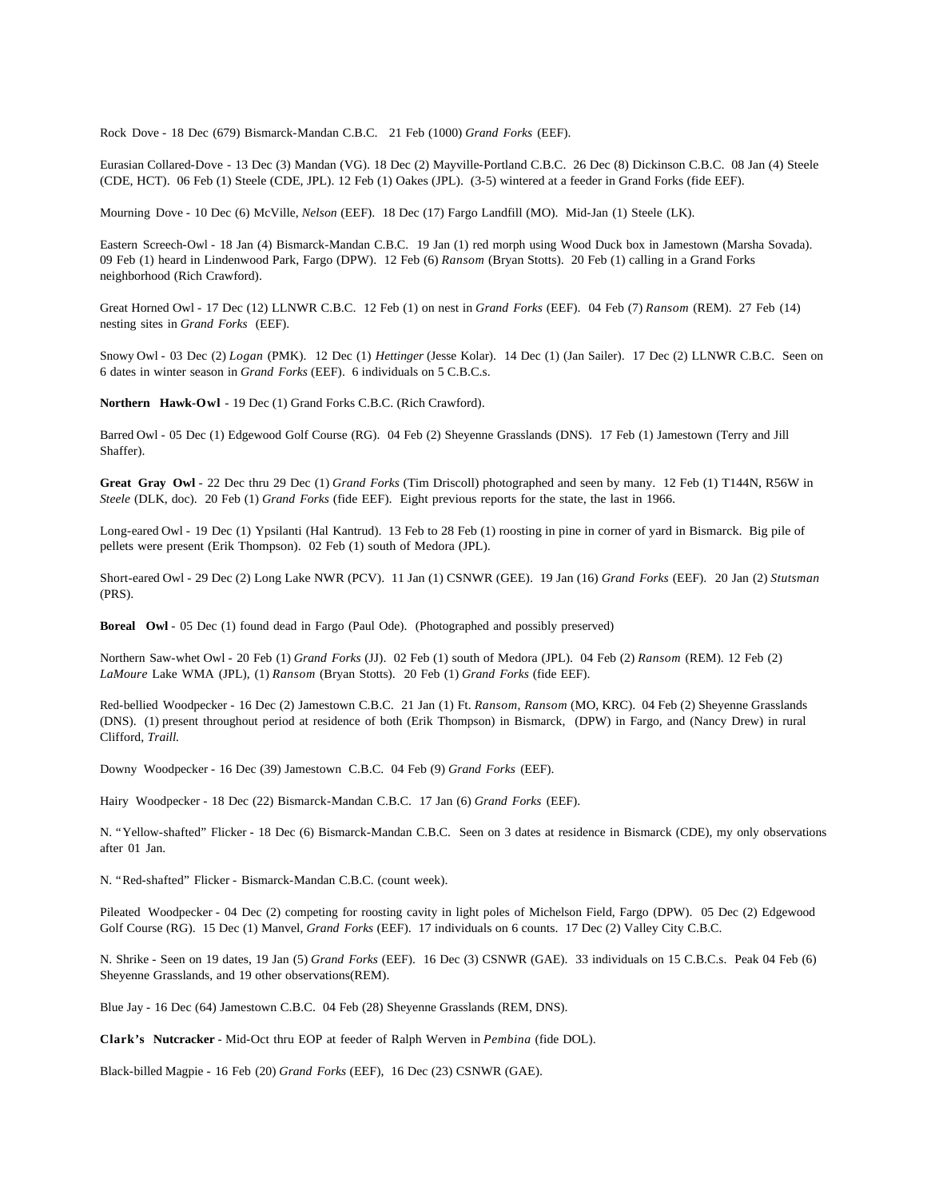Rock Dove - 18 Dec (679) Bismarck-Mandan C.B.C. 21 Feb (1000) *Grand Forks* (EEF).

Eurasian Collared-Dove - 13 Dec (3) Mandan (VG). 18 Dec (2) Mayville-Portland C.B.C. 26 Dec (8) Dickinson C.B.C. 08 Jan (4) Steele (CDE, HCT). 06 Feb (1) Steele (CDE, JPL). 12 Feb (1) Oakes (JPL). (3-5) wintered at a feeder in Grand Forks (fide EEF).

Mourning Dove - 10 Dec (6) McVille, *Nelson* (EEF). 18 Dec (17) Fargo Landfill (MO). Mid-Jan (1) Steele (LK).

Eastern Screech-Owl - 18 Jan (4) Bismarck-Mandan C.B.C. 19 Jan (1) red morph using Wood Duck box in Jamestown (Marsha Sovada). 09 Feb (1) heard in Lindenwood Park, Fargo (DPW). 12 Feb (6) *Ransom* (Bryan Stotts). 20 Feb (1) calling in a Grand Forks neighborhood (Rich Crawford).

Great Horned Owl - 17 Dec (12) LLNWR C.B.C. 12 Feb (1) on nest in *Grand Forks* (EEF). 04 Feb (7) *Ransom* (REM). 27 Feb (14) nesting sites in *Grand Forks* (EEF).

Snowy Owl - 03 Dec (2) *Logan* (PMK). 12 Dec (1) *Hettinger* (Jesse Kolar). 14 Dec (1) (Jan Sailer). 17 Dec (2) LLNWR C.B.C. Seen on 6 dates in winter season in *Grand Forks* (EEF). 6 individuals on 5 C.B.C.s.

**Northern Hawk-Owl** - 19 Dec (1) Grand Forks C.B.C. (Rich Crawford).

Barred Owl - 05 Dec (1) Edgewood Golf Course (RG). 04 Feb (2) Sheyenne Grasslands (DNS). 17 Feb (1) Jamestown (Terry and Jill Shaffer).

**Great Gray Owl** - 22 Dec thru 29 Dec (1) *Grand Forks* (Tim Driscoll) photographed and seen by many. 12 Feb (1) T144N, R56W in *Steele* (DLK, doc). 20 Feb (1) *Grand Forks* (fide EEF). Eight previous reports for the state, the last in 1966.

Long-eared Owl - 19 Dec (1) Ypsilanti (Hal Kantrud). 13 Feb to 28 Feb (1) roosting in pine in corner of yard in Bismarck. Big pile of pellets were present (Erik Thompson). 02 Feb (1) south of Medora (JPL).

Short-eared Owl - 29 Dec (2) Long Lake NWR (PCV). 11 Jan (1) CSNWR (GEE). 19 Jan (16) *Grand Forks* (EEF). 20 Jan (2) *Stutsman* (PRS).

**Boreal Owl** - 05 Dec (1) found dead in Fargo (Paul Ode). (Photographed and possibly preserved)

Northern Saw-whet Owl - 20 Feb (1) *Grand Forks* (JJ). 02 Feb (1) south of Medora (JPL). 04 Feb (2) *Ransom* (REM). 12 Feb (2) *LaMoure* Lake WMA (JPL), (1) *Ransom* (Bryan Stotts). 20 Feb (1) *Grand Forks* (fide EEF).

Red-bellied Woodpecker - 16 Dec (2) Jamestown C.B.C. 21 Jan (1) Ft. *Ransom*, *Ransom* (MO, KRC). 04 Feb (2) Sheyenne Grasslands (DNS). (1) present throughout period at residence of both (Erik Thompson) in Bismarck, (DPW) in Fargo, and (Nancy Drew) in rural Clifford, *Traill.*

Downy Woodpecker - 16 Dec (39) Jamestown C.B.C. 04 Feb (9) *Grand Forks* (EEF).

Hairy Woodpecker - 18 Dec (22) Bismarck-Mandan C.B.C. 17 Jan (6) *Grand Forks* (EEF).

N. "Yellow-shafted" Flicker - 18 Dec (6) Bismarck-Mandan C.B.C. Seen on 3 dates at residence in Bismarck (CDE), my only observations after 01 Jan.

N. "Red-shafted" Flicker - Bismarck-Mandan C.B.C. (count week).

Pileated Woodpecker - 04 Dec (2) competing for roosting cavity in light poles of Michelson Field, Fargo (DPW). 05 Dec (2) Edgewood Golf Course (RG). 15 Dec (1) Manvel, *Grand Forks* (EEF). 17 individuals on 6 counts. 17 Dec (2) Valley City C.B.C.

N. Shrike - Seen on 19 dates, 19 Jan (5) *Grand Forks* (EEF). 16 Dec (3) CSNWR (GAE). 33 individuals on 15 C.B.C.s. Peak 04 Feb (6) Sheyenne Grasslands, and 19 other observations(REM).

Blue Jay - 16 Dec (64) Jamestown C.B.C. 04 Feb (28) Sheyenne Grasslands (REM, DNS).

**Clark's Nutcracker** - Mid-Oct thru EOP at feeder of Ralph Werven in *Pembina* (fide DOL).

Black-billed Magpie - 16 Feb (20) *Grand Forks* (EEF), 16 Dec (23) CSNWR (GAE).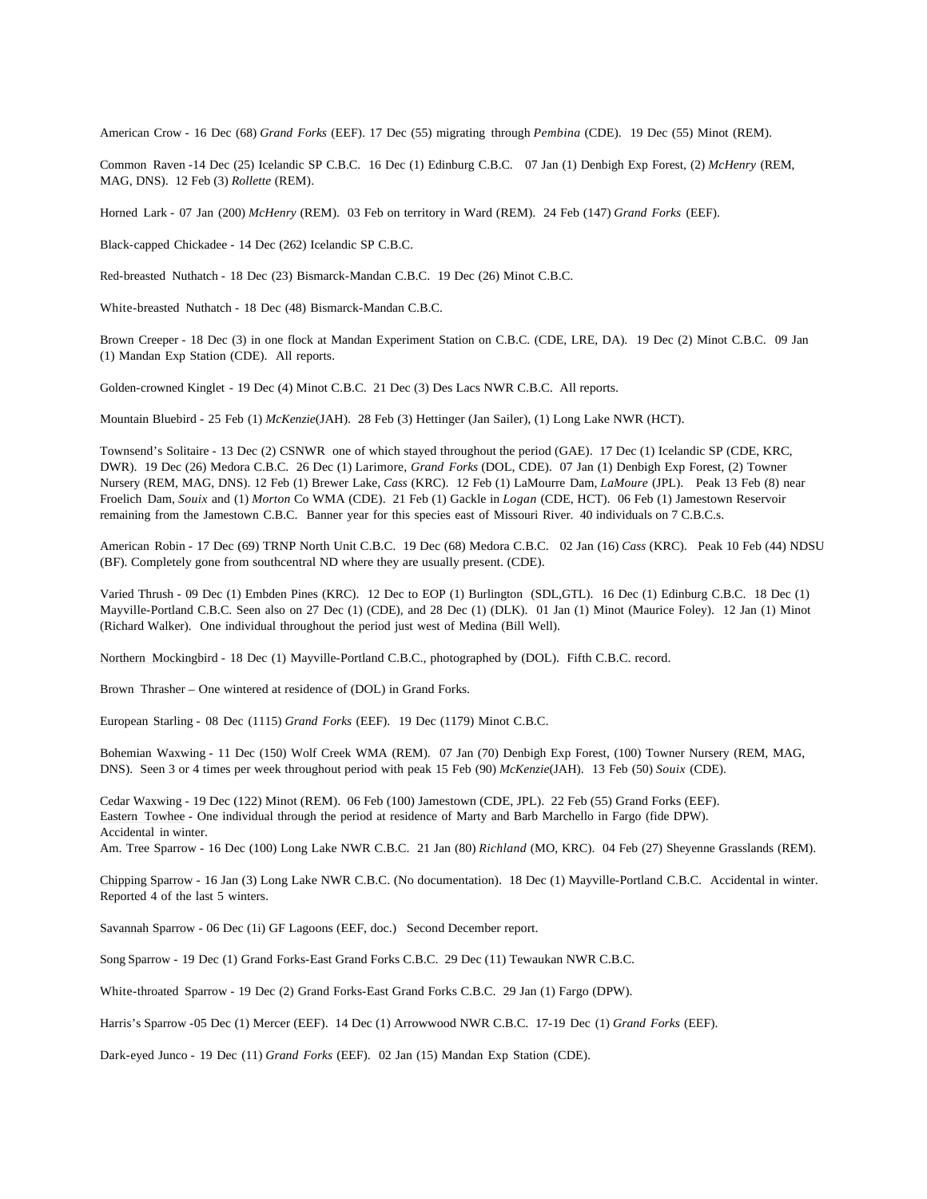American Crow - 16 Dec (68) *Grand Forks* (EEF). 17 Dec (55) migrating through *Pembina* (CDE). 19 Dec (55) Minot (REM).

Common Raven -14 Dec (25) Icelandic SP C.B.C. 16 Dec (1) Edinburg C.B.C. 07 Jan (1) Denbigh Exp Forest, (2) *McHenry* (REM, MAG, DNS). 12 Feb (3) *Rollette* (REM).

Horned Lark - 07 Jan (200) *McHenry* (REM). 03 Feb on territory in Ward (REM). 24 Feb (147) *Grand Forks* (EEF).

Black-capped Chickadee - 14 Dec (262) Icelandic SP C.B.C.

Red-breasted Nuthatch - 18 Dec (23) Bismarck-Mandan C.B.C. 19 Dec (26) Minot C.B.C.

White-breasted Nuthatch - 18 Dec (48) Bismarck-Mandan C.B.C.

Brown Creeper - 18 Dec (3) in one flock at Mandan Experiment Station on C.B.C. (CDE, LRE, DA). 19 Dec (2) Minot C.B.C. 09 Jan (1) Mandan Exp Station (CDE). All reports.

Golden-crowned Kinglet - 19 Dec (4) Minot C.B.C. 21 Dec (3) Des Lacs NWR C.B.C. All reports.

Mountain Bluebird - 25 Feb (1) *McKenzie*(JAH). 28 Feb (3) Hettinger (Jan Sailer), (1) Long Lake NWR (HCT).

Townsend's Solitaire - 13 Dec (2) CSNWR one of which stayed throughout the period (GAE). 17 Dec (1) Icelandic SP (CDE, KRC, DWR). 19 Dec (26) Medora C.B.C. 26 Dec (1) Larimore, *Grand Forks* (DOL, CDE). 07 Jan (1) Denbigh Exp Forest, (2) Towner Nursery (REM, MAG, DNS). 12 Feb (1) Brewer Lake, *Cass* (KRC). 12 Feb (1) LaMourre Dam, *LaMoure* (JPL). Peak 13 Feb (8) near Froelich Dam, *Souix* and (1) *Morton* Co WMA (CDE). 21 Feb (1) Gackle in *Logan* (CDE, HCT). 06 Feb (1) Jamestown Reservoir remaining from the Jamestown C.B.C. Banner year for this species east of Missouri River. 40 individuals on 7 C.B.C.s.

American Robin - 17 Dec (69) TRNP North Unit C.B.C. 19 Dec (68) Medora C.B.C. 02 Jan (16) *Cass* (KRC). Peak 10 Feb (44) NDSU (BF). Completely gone from southcentral ND where they are usually present. (CDE).

Varied Thrush - 09 Dec (1) Embden Pines (KRC). 12 Dec to EOP (1) Burlington (SDL,GTL). 16 Dec (1) Edinburg C.B.C. 18 Dec (1) Mayville-Portland C.B.C. Seen also on 27 Dec (1) (CDE), and 28 Dec (1) (DLK). 01 Jan (1) Minot (Maurice Foley). 12 Jan (1) Minot (Richard Walker). One individual throughout the period just west of Medina (Bill Well).

Northern Mockingbird - 18 Dec (1) Mayville-Portland C.B.C., photographed by (DOL). Fifth C.B.C. record.

Brown Thrasher – One wintered at residence of (DOL) in Grand Forks.

European Starling - 08 Dec (1115) *Grand Forks* (EEF). 19 Dec (1179) Minot C.B.C.

Bohemian Waxwing - 11 Dec (150) Wolf Creek WMA (REM). 07 Jan (70) Denbigh Exp Forest, (100) Towner Nursery (REM, MAG, DNS). Seen 3 or 4 times per week throughout period with peak 15 Feb (90) *McKenzie*(JAH). 13 Feb (50) *Souix* (CDE).

Cedar Waxwing - 19 Dec (122) Minot (REM). 06 Feb (100) Jamestown (CDE, JPL). 22 Feb (55) Grand Forks (EEF). Eastern Towhee - One individual through the period at residence of Marty and Barb Marchello in Fargo (fide DPW). Accidental in winter.

Am. Tree Sparrow - 16 Dec (100) Long Lake NWR C.B.C. 21 Jan (80) *Richland* (MO, KRC). 04 Feb (27) Sheyenne Grasslands (REM).

Chipping Sparrow - 16 Jan (3) Long Lake NWR C.B.C. (No documentation). 18 Dec (1) Mayville-Portland C.B.C. Accidental in winter. Reported 4 of the last 5 winters.

Savannah Sparrow - 06 Dec (1i) GF Lagoons (EEF, doc.) Second December report.

Song Sparrow - 19 Dec (1) Grand Forks-East Grand Forks C.B.C. 29 Dec (11) Tewaukan NWR C.B.C.

White-throated Sparrow - 19 Dec (2) Grand Forks-East Grand Forks C.B.C. 29 Jan (1) Fargo (DPW).

Harris's Sparrow -05 Dec (1) Mercer (EEF). 14 Dec (1) Arrowwood NWR C.B.C. 17-19 Dec (1) *Grand Forks* (EEF).

Dark-eyed Junco - 19 Dec (11) *Grand Forks* (EEF). 02 Jan (15) Mandan Exp Station (CDE).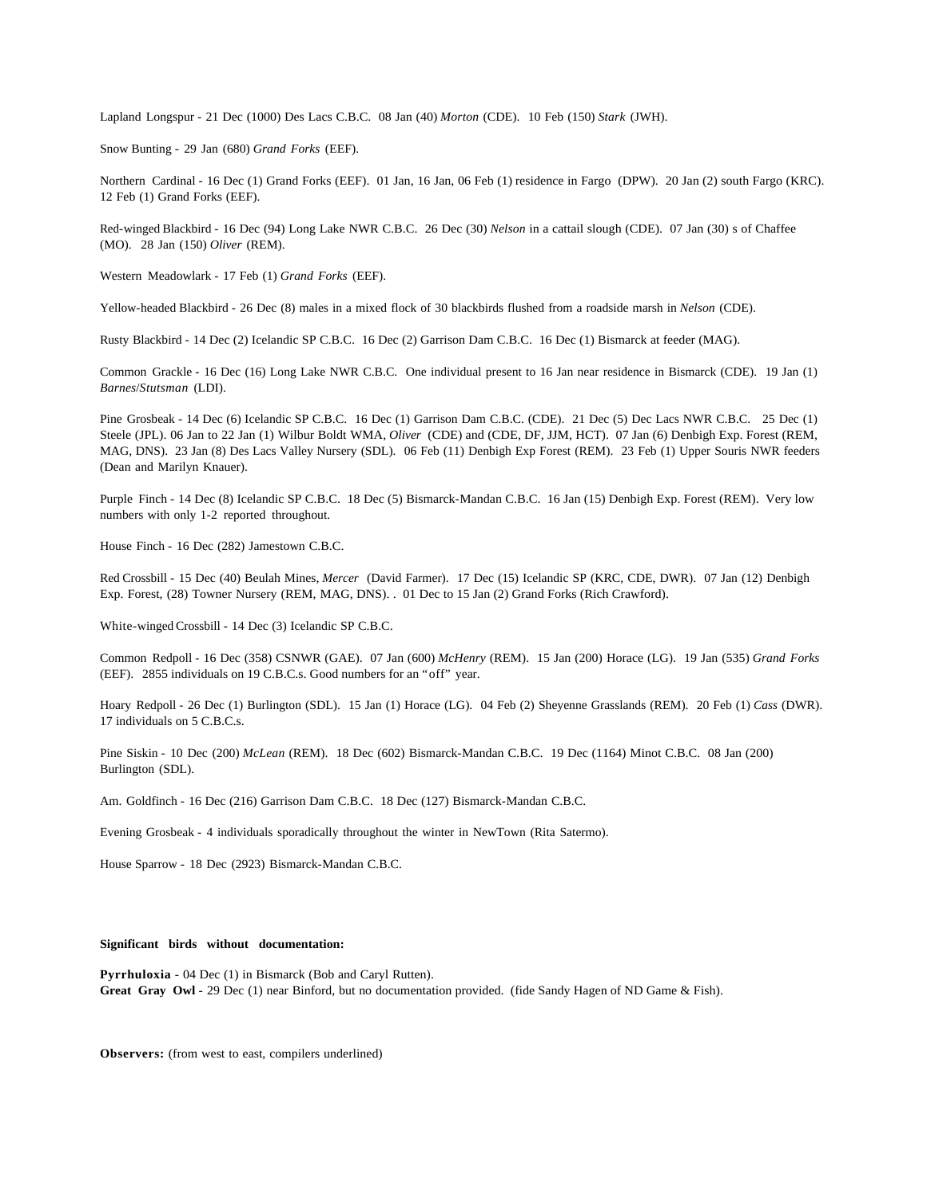Lapland Longspur - 21 Dec (1000) Des Lacs C.B.C. 08 Jan (40) *Morton* (CDE). 10 Feb (150) *Stark* (JWH).

Snow Bunting - 29 Jan (680) *Grand Forks* (EEF).

Northern Cardinal - 16 Dec (1) Grand Forks (EEF). 01 Jan, 16 Jan, 06 Feb (1) residence in Fargo (DPW). 20 Jan (2) south Fargo (KRC). 12 Feb (1) Grand Forks (EEF).

Red-winged Blackbird - 16 Dec (94) Long Lake NWR C.B.C. 26 Dec (30) *Nelson* in a cattail slough (CDE). 07 Jan (30) s of Chaffee (MO). 28 Jan (150) *Oliver* (REM).

Western Meadowlark - 17 Feb (1) *Grand Forks* (EEF).

Yellow-headed Blackbird - 26 Dec (8) males in a mixed flock of 30 blackbirds flushed from a roadside marsh in *Nelson* (CDE).

Rusty Blackbird - 14 Dec (2) Icelandic SP C.B.C. 16 Dec (2) Garrison Dam C.B.C. 16 Dec (1) Bismarck at feeder (MAG).

Common Grackle - 16 Dec (16) Long Lake NWR C.B.C. One individual present to 16 Jan near residence in Bismarck (CDE). 19 Jan (1) *Barnes*/*Stutsman* (LDI).

Pine Grosbeak - 14 Dec (6) Icelandic SP C.B.C. 16 Dec (1) Garrison Dam C.B.C. (CDE). 21 Dec (5) Dec Lacs NWR C.B.C. 25 Dec (1) Steele (JPL). 06 Jan to 22 Jan (1) Wilbur Boldt WMA, *Oliver* (CDE) and (CDE, DF, JJM, HCT). 07 Jan (6) Denbigh Exp. Forest (REM, MAG, DNS). 23 Jan (8) Des Lacs Valley Nursery (SDL). 06 Feb (11) Denbigh Exp Forest (REM). 23 Feb (1) Upper Souris NWR feeders (Dean and Marilyn Knauer).

Purple Finch - 14 Dec (8) Icelandic SP C.B.C. 18 Dec (5) Bismarck-Mandan C.B.C. 16 Jan (15) Denbigh Exp. Forest (REM). Very low numbers with only 1-2 reported throughout.

House Finch - 16 Dec (282) Jamestown C.B.C.

Red Crossbill - 15 Dec (40) Beulah Mines, *Mercer* (David Farmer). 17 Dec (15) Icelandic SP (KRC, CDE, DWR). 07 Jan (12) Denbigh Exp. Forest, (28) Towner Nursery (REM, MAG, DNS). . 01 Dec to 15 Jan (2) Grand Forks (Rich Crawford).

White-winged Crossbill - 14 Dec (3) Icelandic SP C.B.C.

Common Redpoll - 16 Dec (358) CSNWR (GAE). 07 Jan (600) *McHenry* (REM). 15 Jan (200) Horace (LG). 19 Jan (535) *Grand Forks* (EEF). 2855 individuals on 19 C.B.C.s. Good numbers for an "off" year.

Hoary Redpoll - 26 Dec (1) Burlington (SDL). 15 Jan (1) Horace (LG). 04 Feb (2) Sheyenne Grasslands (REM). 20 Feb (1) *Cass* (DWR). 17 individuals on 5 C.B.C.s.

Pine Siskin - 10 Dec (200) *McLean* (REM). 18 Dec (602) Bismarck-Mandan C.B.C. 19 Dec (1164) Minot C.B.C. 08 Jan (200) Burlington (SDL).

Am. Goldfinch - 16 Dec (216) Garrison Dam C.B.C. 18 Dec (127) Bismarck-Mandan C.B.C.

Evening Grosbeak - 4 individuals sporadically throughout the winter in NewTown (Rita Satermo).

House Sparrow - 18 Dec (2923) Bismarck-Mandan C.B.C.

### **Significant birds without documentation:**

**Pyrrhuloxia** - 04 Dec (1) in Bismarck (Bob and Caryl Rutten). **Great Gray Owl** - 29 Dec (1) near Binford, but no documentation provided. (fide Sandy Hagen of ND Game & Fish).

**Observers:** (from west to east, compilers underlined)